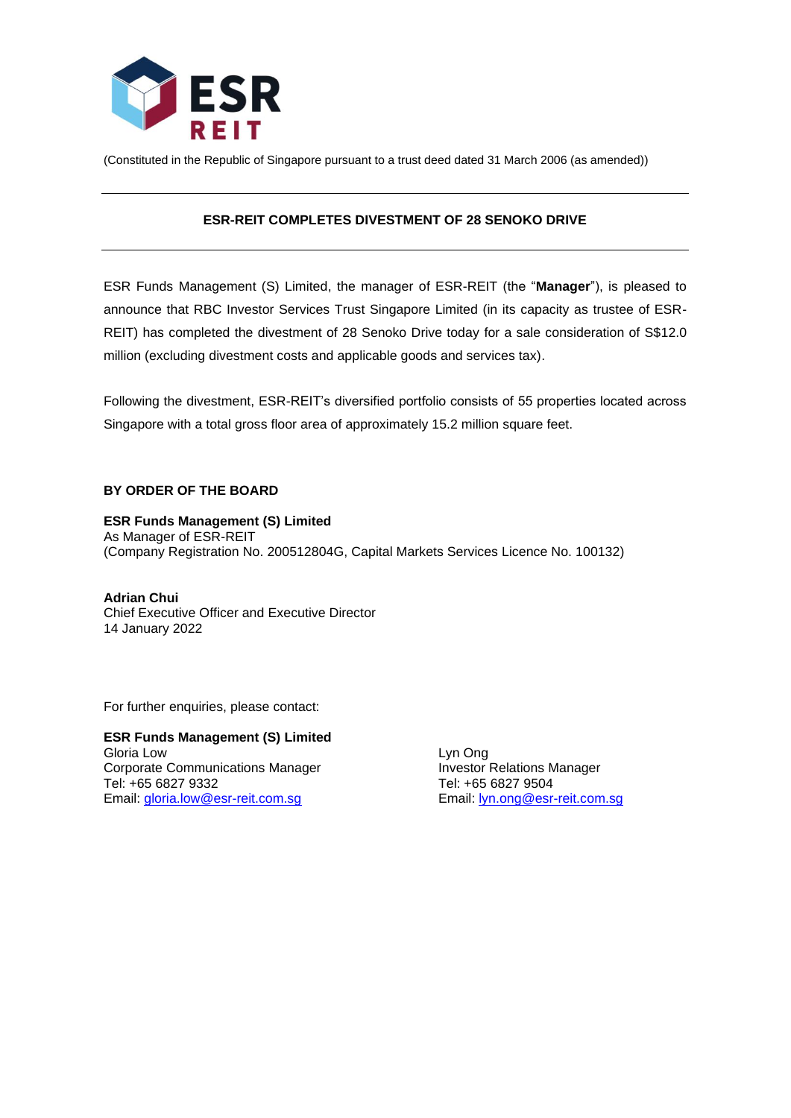

(Constituted in the Republic of Singapore pursuant to a trust deed dated 31 March 2006 (as amended))

# **ESR-REIT COMPLETES DIVESTMENT OF 28 SENOKO DRIVE**

ESR Funds Management (S) Limited, the manager of ESR-REIT (the "**Manager**"), is pleased to announce that RBC Investor Services Trust Singapore Limited (in its capacity as trustee of ESR-REIT) has completed the divestment of 28 Senoko Drive today for a sale consideration of S\$12.0 million (excluding divestment costs and applicable goods and services tax).

Following the divestment, ESR-REIT's diversified portfolio consists of 55 properties located across Singapore with a total gross floor area of approximately 15.2 million square feet.

## **BY ORDER OF THE BOARD**

#### **ESR Funds Management (S) Limited**

As Manager of ESR-REIT (Company Registration No. 200512804G, Capital Markets Services Licence No. 100132)

**Adrian Chui** Chief Executive Officer and Executive Director 14 January 2022

For further enquiries, please contact:

**ESR Funds Management (S) Limited** Gloria Low Lyn Ong Corporate Communications Manager **Investor Relations Manager Investor Relations Manager** Tel: +65 6827 9332 Tel: +65 6827 9504 Email: [gloria.low@esr-reit.com.sg](mailto:gloria.low@esr-reit.com.sg) Email: [lyn.ong@esr-reit.com.sg](mailto:lyn.ong@esr-reit.com.sg)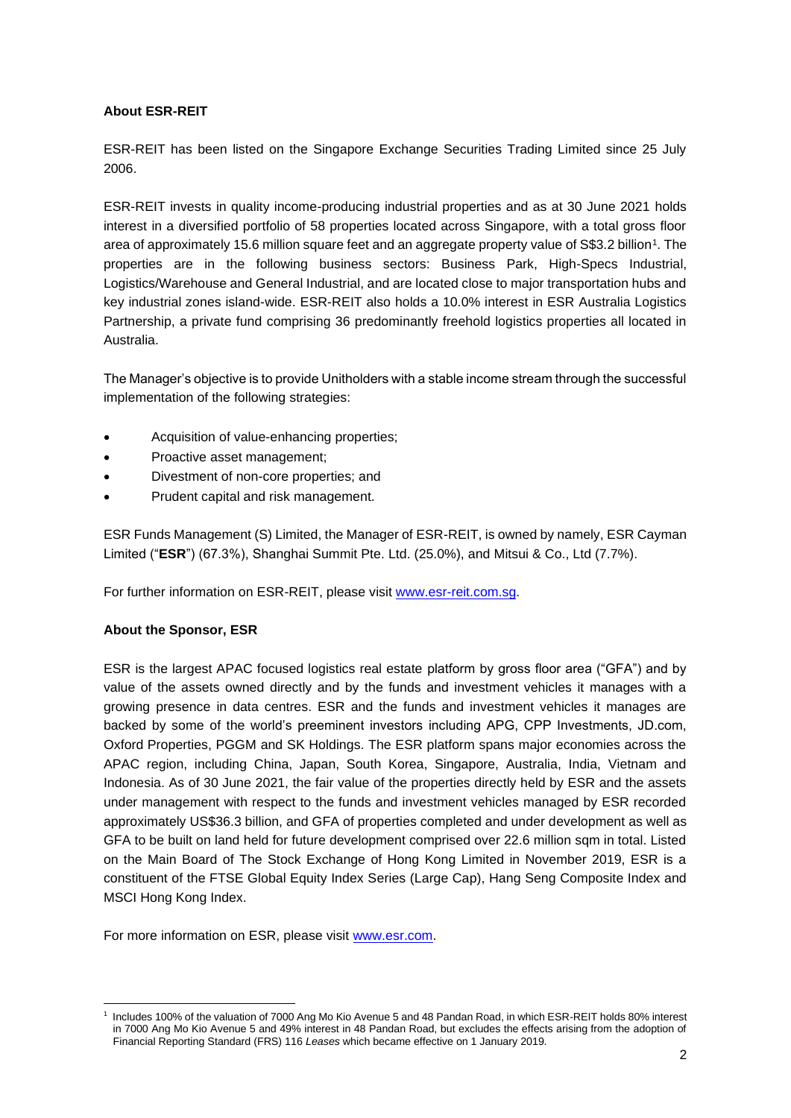# **About ESR-REIT**

ESR-REIT has been listed on the Singapore Exchange Securities Trading Limited since 25 July 2006.

ESR-REIT invests in quality income-producing industrial properties and as at 30 June 2021 holds interest in a diversified portfolio of 58 properties located across Singapore, with a total gross floor area of approximately 15.6 million square feet and an aggregate property value of S\$3.2 billion<sup>1</sup>. The properties are in the following business sectors: Business Park, High-Specs Industrial, Logistics/Warehouse and General Industrial, and are located close to major transportation hubs and key industrial zones island-wide. ESR-REIT also holds a 10.0% interest in ESR Australia Logistics Partnership, a private fund comprising 36 predominantly freehold logistics properties all located in Australia.

The Manager's objective is to provide Unitholders with a stable income stream through the successful implementation of the following strategies:

- Acquisition of value-enhancing properties;
- Proactive asset management;
- Divestment of non-core properties; and
- Prudent capital and risk management.

ESR Funds Management (S) Limited, the Manager of ESR-REIT, is owned by namely, ESR Cayman Limited ("**ESR**") (67.3%), Shanghai Summit Pte. Ltd. (25.0%), and Mitsui & Co., Ltd (7.7%).

For further information on ESR-REIT, please visit [www.esr-reit.com.sg.](http://www.esr-reit.com.sg/)

## **About the Sponsor, ESR**

ESR is the largest APAC focused logistics real estate platform by gross floor area ("GFA") and by value of the assets owned directly and by the funds and investment vehicles it manages with a growing presence in data centres. ESR and the funds and investment vehicles it manages are backed by some of the world's preeminent investors including APG, CPP Investments, JD.com, Oxford Properties, PGGM and SK Holdings. The ESR platform spans major economies across the APAC region, including China, Japan, South Korea, Singapore, Australia, India, Vietnam and Indonesia. As of 30 June 2021, the fair value of the properties directly held by ESR and the assets under management with respect to the funds and investment vehicles managed by ESR recorded approximately US\$36.3 billion, and GFA of properties completed and under development as well as GFA to be built on land held for future development comprised over 22.6 million sqm in total. Listed on the Main Board of The Stock Exchange of Hong Kong Limited in November 2019, ESR is a constituent of the FTSE Global Equity Index Series (Large Cap), Hang Seng Composite Index and MSCI Hong Kong Index.

For more information on ESR, please visit [www.esr.com.](https://apc01.safelinks.protection.outlook.com/?url=http%3A%2F%2Fwww.esr.com&data=02%7C01%7Cgloria.low%40esr-reit.com.sg%7Cb18ed7da682643de8b7008d766916f05%7C6ed733c0622d401d8f49b2984c7d765f%7C0%7C0%7C637090647129612986&sdata=hiUu8gk6thHcFkbiXEp08i9y2Ux64on2c0ivRFvmSek%3D&reserved=0)

<sup>1</sup> Includes 100% of the valuation of 7000 Ang Mo Kio Avenue 5 and 48 Pandan Road, in which ESR-REIT holds 80% interest in 7000 Ang Mo Kio Avenue 5 and 49% interest in 48 Pandan Road, but excludes the effects arising from the adoption of Financial Reporting Standard (FRS) 116 *Leases* which became effective on 1 January 2019.